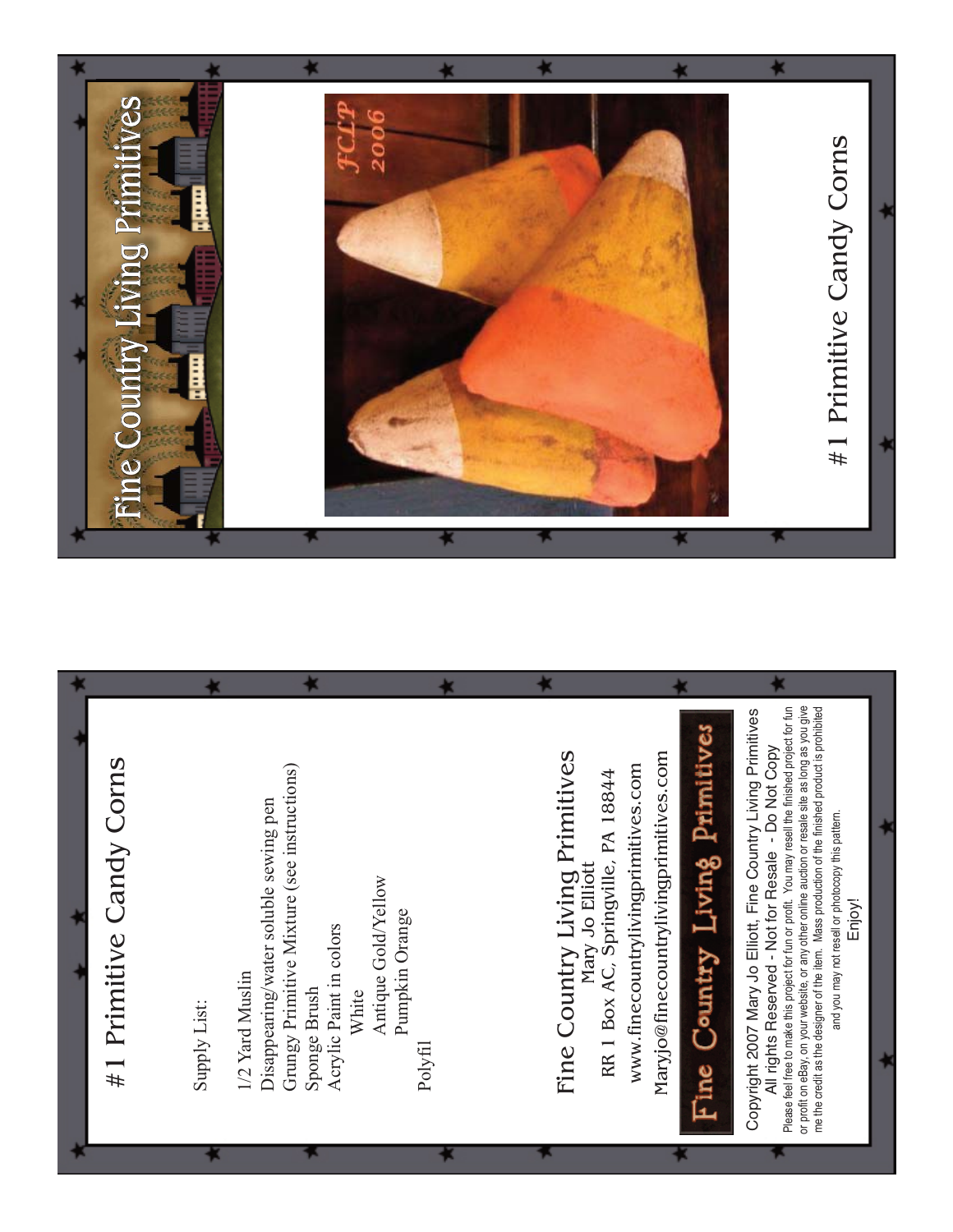

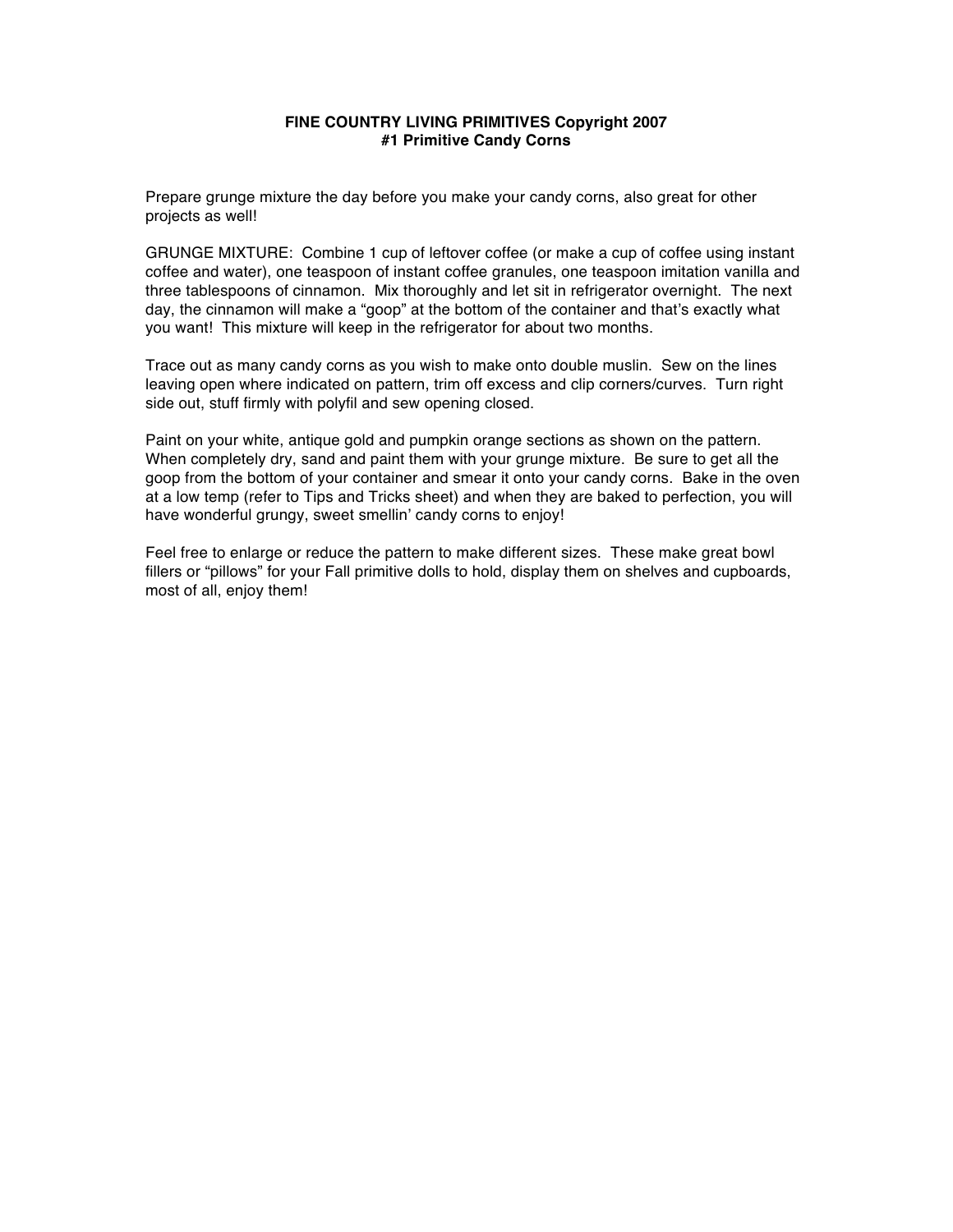# **FINE COUNTRY LIVING PRIMITIVES Copyright 2007 #1 Primitive Candy Corns**

Prepare grunge mixture the day before you make your candy corns, also great for other projects as well!

GRUNGE MIXTURE: Combine 1 cup of leftover coffee (or make a cup of coffee using instant coffee and water), one teaspoon of instant coffee granules, one teaspoon imitation vanilla and three tablespoons of cinnamon. Mix thoroughly and let sit in refrigerator overnight. The next day, the cinnamon will make a "goop" at the bottom of the container and that's exactly what you want! This mixture will keep in the refrigerator for about two months.

Trace out as many candy corns as you wish to make onto double muslin. Sew on the lines leaving open where indicated on pattern, trim off excess and clip corners/curves. Turn right side out, stuff firmly with polyfil and sew opening closed.

Paint on your white, antique gold and pumpkin orange sections as shown on the pattern. When completely dry, sand and paint them with your grunge mixture. Be sure to get all the goop from the bottom of your container and smear it onto your candy corns. Bake in the oven at a low temp (refer to Tips and Tricks sheet) and when they are baked to perfection, you will have wonderful grungy, sweet smellin' candy corns to enjoy!

Feel free to enlarge or reduce the pattern to make different sizes. These make great bowl fillers or "pillows" for your Fall primitive dolls to hold, display them on shelves and cupboards, most of all, enjoy them!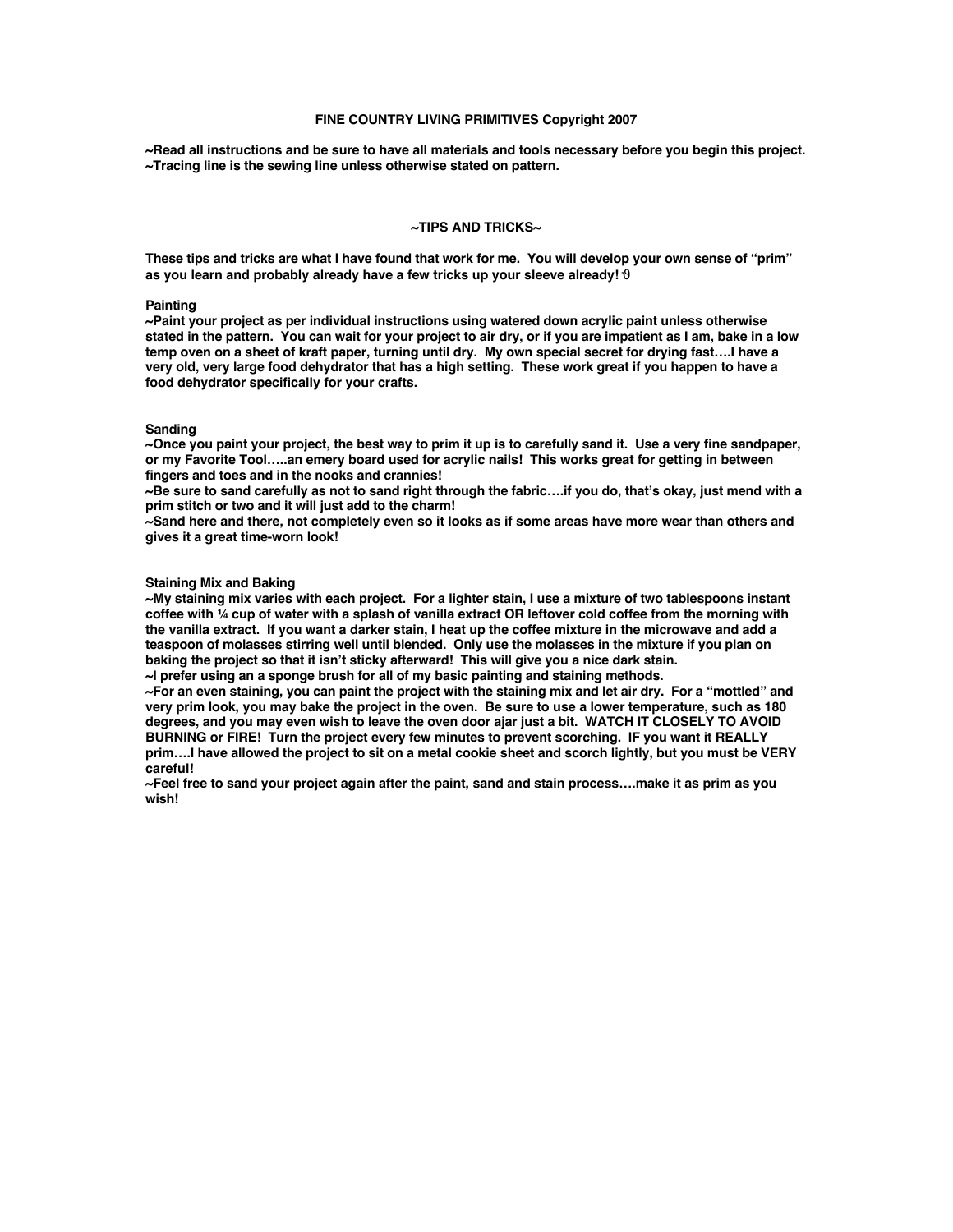### **FINE COUNTRY LIVING PRIMITIVES Copyright 2007**

**~Read all instructions and be sure to have all materials and tools necessary before you begin this project. ~Tracing line is the sewing line unless otherwise stated on pattern.** 

### **~TIPS AND TRICKS~**

**These tips and tricks are what I have found that work for me. You will develop your own sense of "prim" as you learn and probably already have a few tricks up your sleeve already!** ϑ

# **Painting**

**~Paint your project as per individual instructions using watered down acrylic paint unless otherwise stated in the pattern. You can wait for your project to air dry, or if you are impatient as I am, bake in a low temp oven on a sheet of kraft paper, turning until dry. My own special secret for drying fast….I have a very old, very large food dehydrator that has a high setting. These work great if you happen to have a food dehydrator specifically for your crafts.**

#### **Sanding**

**~Once you paint your project, the best way to prim it up is to carefully sand it. Use a very fine sandpaper, or my Favorite Tool…..an emery board used for acrylic nails! This works great for getting in between fingers and toes and in the nooks and crannies!**

**~Be sure to sand carefully as not to sand right through the fabric….if you do, that's okay, just mend with a prim stitch or two and it will just add to the charm!**

**~Sand here and there, not completely even so it looks as if some areas have more wear than others and gives it a great time-worn look!**

# **Staining Mix and Baking**

**~My staining mix varies with each project. For a lighter stain, I use a mixture of two tablespoons instant coffee with ¼ cup of water with a splash of vanilla extract OR leftover cold coffee from the morning with the vanilla extract. If you want a darker stain, I heat up the coffee mixture in the microwave and add a teaspoon of molasses stirring well until blended. Only use the molasses in the mixture if you plan on baking the project so that it isn't sticky afterward! This will give you a nice dark stain.**

**~I prefer using an a sponge brush for all of my basic painting and staining methods.**

**~For an even staining, you can paint the project with the staining mix and let air dry. For a "mottled" and very prim look, you may bake the project in the oven. Be sure to use a lower temperature, such as 180 degrees, and you may even wish to leave the oven door ajar just a bit. WATCH IT CLOSELY TO AVOID BURNING or FIRE! Turn the project every few minutes to prevent scorching. IF you want it REALLY prim….I have allowed the project to sit on a metal cookie sheet and scorch lightly, but you must be VERY careful!**

**~Feel free to sand your project again after the paint, sand and stain process….make it as prim as you wish!**